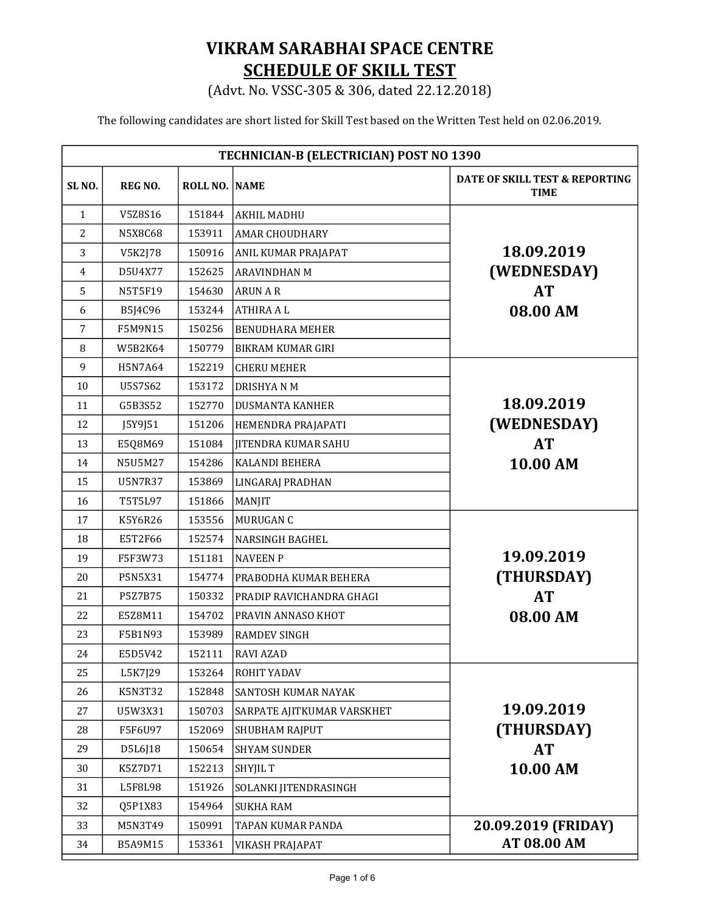## VIKRAM SARABHAI SPACE CENTRE SCHEDULE OF SKILL TEST

(Advt. No. VSSC-305 & 306, dated 22.12.2018)

The following candidates are short listed for Skill Test based on the Written Test held on 02.06.2019.

| TECHNICIAN-B (ELECTRICIAN) POST NO 1390 |                |                      |                                 |                                                   |
|-----------------------------------------|----------------|----------------------|---------------------------------|---------------------------------------------------|
| SL <sub>NO</sub> .                      | <b>REG NO.</b> | <b>ROLL NO. NAME</b> |                                 | DATE OF SKILL TEST & REPORTING<br><b>TIME</b>     |
| $\mathbf{1}$                            | V5Z8S16        | 151844               | <b>AKHIL MADHU</b>              |                                                   |
| $\overline{2}$                          | N5X8C68        | 153911               | <b>AMAR CHOUDHARY</b>           |                                                   |
| 3                                       | V5K2J78        | 150916               | ANIL KUMAR PRAJAPAT             | 18.09.2019                                        |
| $\overline{4}$                          | D5U4X77        | 152625               | <b>ARAVINDHAN M</b>             | (WEDNESDAY)                                       |
| 5                                       | N5T5F19        | 154630               | <b>ARUN A R</b>                 | <b>AT</b>                                         |
| 6                                       | B5J4C96        | 153244               | <b>ATHIRA AL</b>                | 08.00 AM                                          |
| 7                                       | F5M9N15        | 150256               | <b>BENUDHARA MEHER</b>          |                                                   |
| 8                                       | W5B2K64        | 150779               | <b>BIKRAM KUMAR GIRI</b>        |                                                   |
| 9                                       | H5N7A64        | 152219               | <b>CHERU MEHER</b>              |                                                   |
| 10                                      | U5S7S62        | 153172               | <b>DRISHYANM</b>                |                                                   |
| 11                                      | G5B3S52        | 152770               | <b>DUSMANTA KANHER</b>          | 18.09.2019                                        |
| 12                                      | J5Y9J51        | 151206               | HEMENDRA PRAJAPATI              | (WEDNESDAY)                                       |
| 13                                      | E5Q8M69        | 151084               | <b>IITENDRA KUMAR SAHU</b>      | <b>AT</b>                                         |
| 14                                      | N5U5M27        | 154286               | <b>KALANDI BEHERA</b>           | 10.00 AM                                          |
| 15                                      | U5N7R37        | 153869               | <b>LINGARAJ PRADHAN</b>         |                                                   |
| 16                                      | T5T5L97        | 151866               | <b>MANJIT</b>                   |                                                   |
| 17                                      | K5Y6R26        | 153556               | <b>MURUGAN C</b>                |                                                   |
| 18                                      | E5T2F66        | 152574               | <b>NARSINGH BAGHEL</b>          |                                                   |
| 19                                      | F5F3W73        | 151181               | <b>NAVEEN P</b>                 | 19.09.2019                                        |
| 20                                      | P5N5X31        | 154774               | <b>PRABODHA KUMAR BEHERA</b>    | (THURSDAY)                                        |
| 21                                      | <b>P5Z7B75</b> | 150332               | <b>PRADIP RAVICHANDRA GHAGI</b> | <b>AT</b>                                         |
| 22                                      | E5Z8M11        | 154702               | PRAVIN ANNASO KHOT              | 08.00 AM                                          |
| 23                                      | F5B1N93        | 153989               | <b>RAMDEV SINGH</b>             |                                                   |
| 24                                      | E5D5V42        | 152111               | <b>RAVI AZAD</b>                |                                                   |
| 25                                      | L5K7J29        | 153264               | <b>ROHIT YADAV</b>              | 19.09.2019<br>(THURSDAY)<br><b>AT</b><br>10.00 AM |
| 26                                      | K5N3T32        | 152848               | SANTOSH KUMAR NAYAK             |                                                   |
| 27                                      | U5W3X31        | 150703               | SARPATE AJITKUMAR VARSKHET      |                                                   |
| 28                                      | F5F6U97        | 152069               | SHUBHAM RAJPUT                  |                                                   |
| 29                                      | D5L6J18        | 150654               | <b>SHYAM SUNDER</b>             |                                                   |
| 30                                      | K5Z7D71        | 152213               | <b>SHYJIL T</b>                 |                                                   |
| 31                                      | L5F8L98        | 151926               | SOLANKI JITENDRASINGH           |                                                   |
| 32                                      | Q5P1X83        | 154964               | <b>SUKHA RAM</b>                |                                                   |
| 33                                      | M5N3T49        | 150991               | TAPAN KUMAR PANDA               | 20.09.2019 (FRIDAY)                               |
| 34                                      | B5A9M15        | 153361               | VIKASH PRAJAPAT                 | AT 08.00 AM                                       |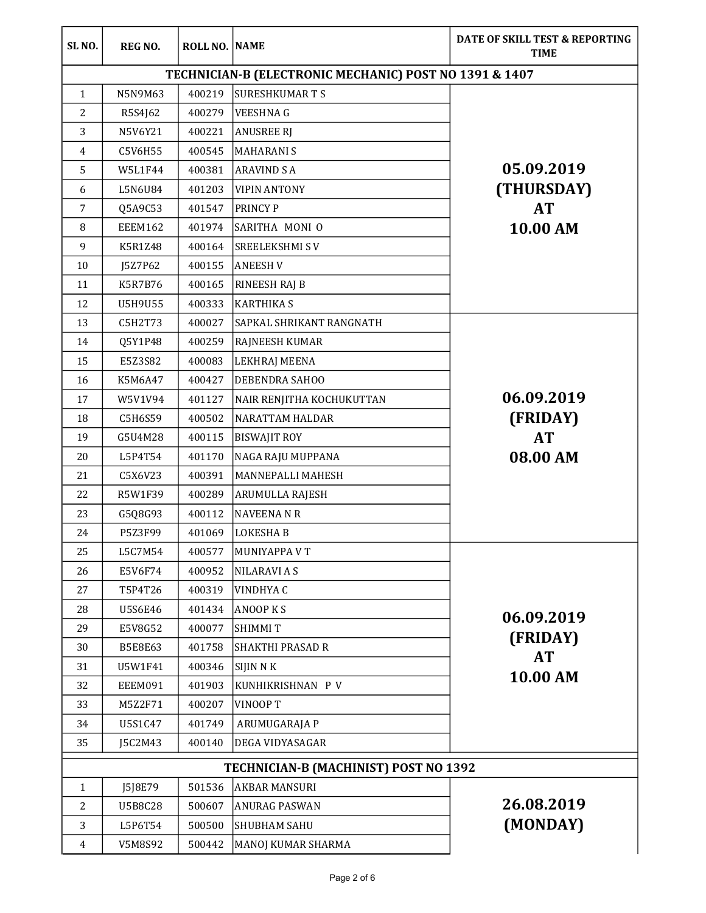| SL <sub>NO.</sub> | <b>REG NO.</b>                                         | ROLL NO. NAME |                                       | DATE OF SKILL TEST & REPORTING<br><b>TIME</b> |  |
|-------------------|--------------------------------------------------------|---------------|---------------------------------------|-----------------------------------------------|--|
|                   | TECHNICIAN-B (ELECTRONIC MECHANIC) POST NO 1391 & 1407 |               |                                       |                                               |  |
| $\mathbf{1}$      | N5N9M63                                                | 400219        | <b>SURESHKUMARTS</b>                  |                                               |  |
| $\overline{2}$    | R5S4J62                                                | 400279        | <b>VEESHNAG</b>                       |                                               |  |
| 3                 | N5V6Y21                                                | 400221        | <b>ANUSREE RJ</b>                     |                                               |  |
| $\overline{4}$    | C5V6H55                                                | 400545        | <b>MAHARANIS</b>                      |                                               |  |
| 5                 | W5L1F44                                                | 400381        | <b>ARAVIND S A</b>                    | 05.09.2019                                    |  |
| $6\,$             | L5N6U84                                                | 401203        | <b>VIPIN ANTONY</b>                   | (THURSDAY)                                    |  |
| $\overline{7}$    | Q5A9C53                                                | 401547        | <b>PRINCY P</b>                       | <b>AT</b>                                     |  |
| 8                 | EEEM162                                                | 401974        | SARITHA MONI O                        | 10.00 AM                                      |  |
| 9                 | K5R1Z48                                                | 400164        | <b>SREELEKSHMISV</b>                  |                                               |  |
| 10                | J5Z7P62                                                | 400155        | <b>ANEESH V</b>                       |                                               |  |
| 11                | <b>K5R7B76</b>                                         | 400165        | <b>RINEESH RAJ B</b>                  |                                               |  |
| 12                | <b>U5H9U55</b>                                         | 400333        | <b>KARTHIKA S</b>                     |                                               |  |
| 13                | C5H2T73                                                | 400027        | SAPKAL SHRIKANT RANGNATH              |                                               |  |
| 14                | Q5Y1P48                                                | 400259        | <b>RAJNEESH KUMAR</b>                 |                                               |  |
| 15                | E5Z3S82                                                | 400083        | <b>LEKHRAJ MEENA</b>                  |                                               |  |
| 16                | K5M6A47                                                | 400427        | <b>DEBENDRA SAHOO</b>                 |                                               |  |
| 17                | W5V1V94                                                | 401127        | NAIR RENJITHA KOCHUKUTTAN             | 06.09.2019                                    |  |
| 18                | C5H6S59                                                | 400502        | <b>NARATTAM HALDAR</b>                | (FRIDAY)                                      |  |
| 19                | G5U4M28                                                | 400115        | <b>BISWAJIT ROY</b>                   | <b>AT</b>                                     |  |
| 20                | L5P4T54                                                | 401170        | NAGA RAJU MUPPANA                     | 08.00 AM                                      |  |
| 21                | C5X6V23                                                | 400391        | <b>MANNEPALLI MAHESH</b>              |                                               |  |
| 22                | R5W1F39                                                | 400289        | <b>ARUMULLA RAJESH</b>                |                                               |  |
| 23                | G5Q8G93                                                | 400112        | <b>NAVEENA N R</b>                    |                                               |  |
| 24                | P5Z3F99                                                | 401069        | <b>LOKESHAB</b>                       |                                               |  |
| 25                | L5C7M54                                                | 400577        | <b>MUNIYAPPA V T</b>                  |                                               |  |
| 26                | E5V6F74                                                | 400952        | <b>NILARAVI A S</b>                   |                                               |  |
| 27                | T5P4T26                                                | 400319        | <b>VINDHYAC</b>                       |                                               |  |
| 28                | <b>U5S6E46</b>                                         | 401434        | <b>ANOOP KS</b>                       | 06.09.2019                                    |  |
| 29                | E5V8G52                                                | 400077        | <b>SHIMMIT</b>                        |                                               |  |
| 30                | <b>B5E8E63</b>                                         | 401758        | <b>SHAKTHI PRASAD R</b>               | (FRIDAY)<br><b>AT</b><br>10.00 AM             |  |
| 31                | U5W1F41                                                | 400346        | <b>SIJIN N K</b>                      |                                               |  |
| 32                | EEEM091                                                | 401903        | KUNHIKRISHNAN P V                     |                                               |  |
| 33                | M5Z2F71                                                | 400207        | <b>VINOOPT</b>                        |                                               |  |
| 34                | U5S1C47                                                | 401749        | ARUMUGARAJA P                         |                                               |  |
| 35                | J5C2M43                                                | 400140        | <b>DEGA VIDYASAGAR</b>                |                                               |  |
|                   |                                                        |               | TECHNICIAN-B (MACHINIST) POST NO 1392 |                                               |  |
| 1                 | J5J8E79                                                | 501536        | <b>AKBAR MANSURI</b>                  |                                               |  |
| 2                 | <b>U5B8C28</b>                                         | 500607        | <b>ANURAG PASWAN</b>                  | 26.08.2019<br>(MONDAY)                        |  |
| 3                 | L5P6T54                                                | 500500        | <b>SHUBHAM SAHU</b>                   |                                               |  |
| $\overline{4}$    | V5M8S92                                                | 500442        | MANOJ KUMAR SHARMA                    |                                               |  |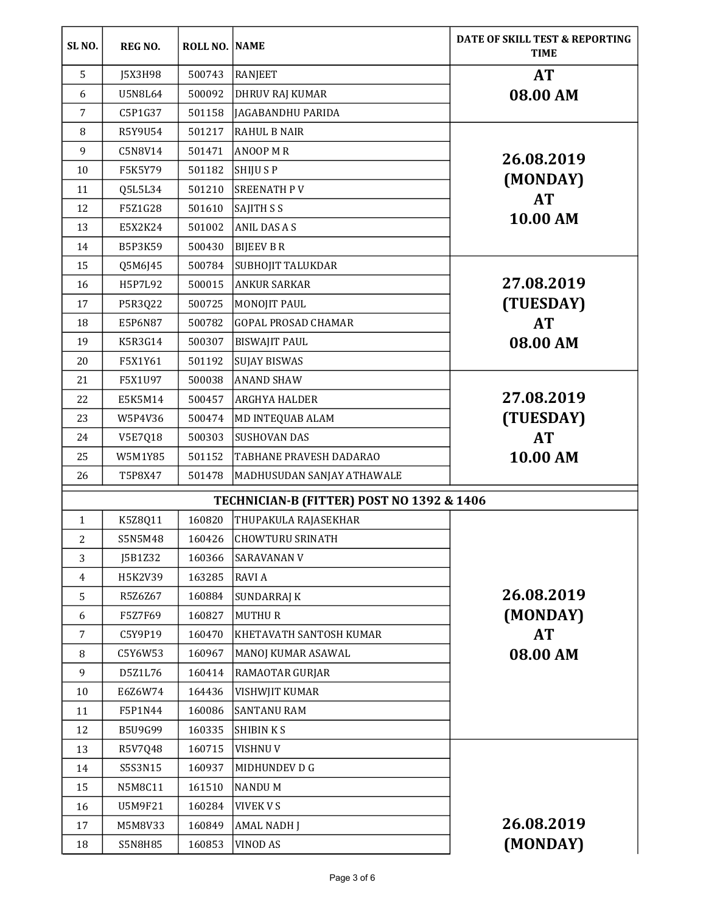| SL <sub>NO</sub> . | <b>REG NO.</b> | <b>ROLL NO. NAME</b> |                                           | DATE OF SKILL TEST & REPORTING<br><b>TIME</b> |
|--------------------|----------------|----------------------|-------------------------------------------|-----------------------------------------------|
| 5                  | J5X3H98        | 500743               | <b>RANJEET</b>                            | <b>AT</b>                                     |
| 6                  | <b>U5N8L64</b> | 500092               | <b>DHRUV RAJ KUMAR</b>                    | 08.00 AM                                      |
| $\overline{7}$     | C5P1G37        | 501158               | <b>JAGABANDHU PARIDA</b>                  |                                               |
| 8                  | R5Y9U54        | 501217               | <b>RAHUL B NAIR</b>                       |                                               |
| 9                  | C5N8V14        | 501471               | <b>ANOOP M R</b>                          | 26.08.2019                                    |
| 10                 | F5K5Y79        | 501182               | <b>SHIJU S P</b>                          |                                               |
| 11                 | Q5L5L34        | 501210               | <b>SREENATH PV</b>                        | (MONDAY)                                      |
| 12                 | F5Z1G28        | 501610               | <b>SAJITH S S</b>                         | <b>AT</b>                                     |
| 13                 | E5X2K24        | 501002               | <b>ANIL DAS A S</b>                       | 10.00 AM                                      |
| 14                 | B5P3K59        | 500430               | <b>BIJEEV B R</b>                         |                                               |
| 15                 | Q5M6J45        | 500784               | SUBHOJIT TALUKDAR                         |                                               |
| 16                 | H5P7L92        | 500015               | ANKUR SARKAR                              | 27.08.2019                                    |
| 17                 | P5R3Q22        | 500725               | <b>MONOJIT PAUL</b>                       | (TUESDAY)                                     |
| 18                 | E5P6N87        | 500782               | <b>GOPAL PROSAD CHAMAR</b>                | <b>AT</b>                                     |
| 19                 | K5R3G14        | 500307               | <b>BISWAJIT PAUL</b>                      | 08.00 AM                                      |
| 20                 | F5X1Y61        | 501192               | <b>SUJAY BISWAS</b>                       |                                               |
| 21                 | F5X1U97        | 500038               | <b>ANAND SHAW</b>                         |                                               |
| 22                 | E5K5M14        | 500457               | <b>ARGHYA HALDER</b>                      | 27.08.2019                                    |
| 23                 | W5P4V36        | 500474               | <b>MD INTEQUAB ALAM</b>                   | (TUESDAY)                                     |
| 24                 | <b>V5E7Q18</b> | 500303               | <b>SUSHOVAN DAS</b>                       | <b>AT</b>                                     |
| 25                 | W5M1Y85        | 501152               | <b>TABHANE PRAVESH DADARAO</b>            | 10.00 AM                                      |
| 26                 | T5P8X47        | 501478               | MADHUSUDAN SANJAY ATHAWALE                |                                               |
|                    |                |                      | TECHNICIAN-B (FITTER) POST NO 1392 & 1406 |                                               |
| $\mathbf{1}$       | K5Z8Q11        | 160820               | THUPAKULA RAJASEKHAR                      |                                               |
| $\overline{c}$     | S5N5M48        | 160426               | <b>CHOWTURU SRINATH</b>                   |                                               |
| 3                  | J5B1Z32        | 160366               | <b>SARAVANAN V</b>                        |                                               |
| $\overline{4}$     | H5K2V39        | 163285               | <b>RAVIA</b>                              |                                               |
| 5                  | R5Z6Z67        | 160884               | <b>SUNDARRAJ K</b>                        | 26.08.2019                                    |
| 6                  | F5Z7F69        | 160827               | <b>MUTHUR</b>                             | (MONDAY)                                      |
| 7                  | C5Y9P19        | 160470               | <b>KHETAVATH SANTOSH KUMAR</b>            | <b>AT</b>                                     |
| 8                  | C5Y6W53        | 160967               | MANOJ KUMAR ASAWAL                        | 08.00 AM                                      |
| 9                  | D5Z1L76        | 160414               | <b>RAMAOTAR GURJAR</b>                    |                                               |
| 10                 | E6Z6W74        | 164436               | <b>VISHWJIT KUMAR</b>                     |                                               |
| 11                 | F5P1N44        | 160086               | <b>SANTANU RAM</b>                        |                                               |
| 12                 | B5U9G99        | 160335               | <b>SHIBIN KS</b>                          |                                               |
| 13                 | R5V7Q48        | 160715               | <b>VISHNUV</b>                            |                                               |
| 14                 | S5S3N15        | 160937               | MIDHUNDEV D G                             |                                               |
| 15                 | N5M8C11        | 161510               | <b>NANDUM</b>                             |                                               |
| 16                 | U5M9F21        | 160284               | <b>VIVEK V S</b>                          |                                               |
| 17                 | M5M8V33        | 160849               | <b>AMAL NADH J</b>                        | 26.08.2019<br>(MONDAY)                        |
| 18                 | <b>S5N8H85</b> | 160853               | <b>VINOD AS</b>                           |                                               |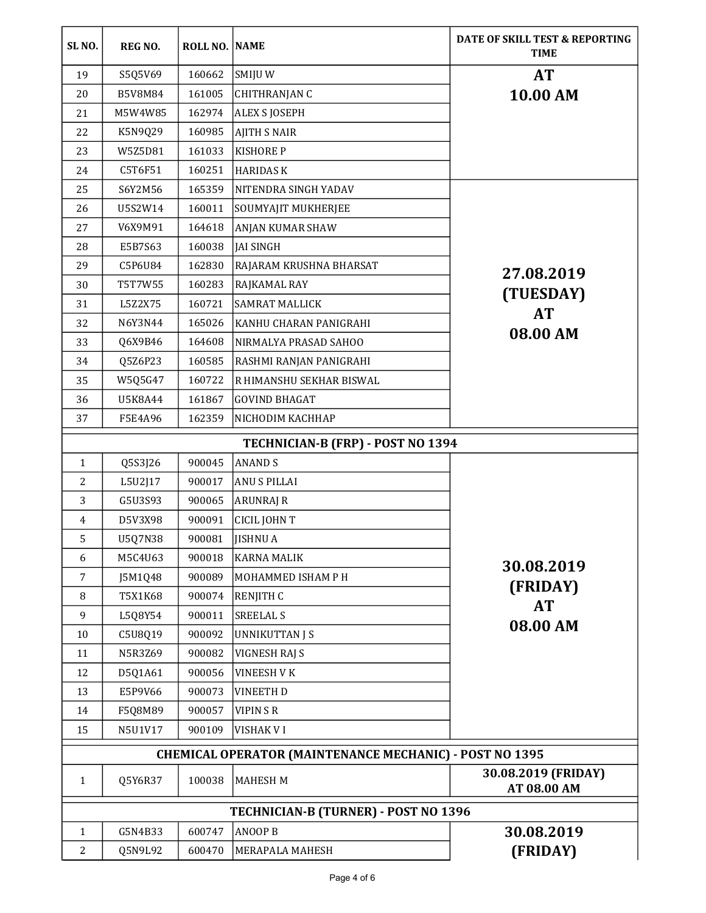| SL <sub>NO</sub> .                                             | REG NO.        | ROLL NO. NAME |                                   | DATE OF SKILL TEST & REPORTING<br><b>TIME</b> |
|----------------------------------------------------------------|----------------|---------------|-----------------------------------|-----------------------------------------------|
| 19                                                             | S5Q5V69        | 160662        | SMIJU W                           | <b>AT</b>                                     |
| 20                                                             | <b>B5V8M84</b> | 161005        | CHITHRANJAN C                     | 10.00 AM                                      |
| 21                                                             | M5W4W85        | 162974        | <b>ALEX S JOSEPH</b>              |                                               |
| 22                                                             | K5N9Q29        | 160985        | <b>AJITH S NAIR</b>               |                                               |
| 23                                                             | W5Z5D81        | 161033        | <b>KISHORE P</b>                  |                                               |
| 24                                                             | C5T6F51        | 160251        | <b>HARIDASK</b>                   |                                               |
| 25                                                             | S6Y2M56        | 165359        | NITENDRA SINGH YADAV              |                                               |
| 26                                                             | U5S2W14        | 160011        | SOUMYAJIT MUKHERJEE               |                                               |
| 27                                                             | V6X9M91        | 164618        | ANJAN KUMAR SHAW                  |                                               |
| 28                                                             | E5B7S63        | 160038        | JAI SINGH                         |                                               |
| 29                                                             | C5P6U84        | 162830        | RAJARAM KRUSHNA BHARSAT           | 27.08.2019                                    |
| 30                                                             | T5T7W55        | 160283        | RAJKAMAL RAY                      |                                               |
| 31                                                             | L5Z2X75        | 160721        | <b>SAMRAT MALLICK</b>             | (TUESDAY)                                     |
| 32                                                             | N6Y3N44        | 165026        | KANHU CHARAN PANIGRAHI            | <b>AT</b>                                     |
| 33                                                             | Q6X9B46        | 164608        | NIRMALYA PRASAD SAHOO             | 08.00 AM                                      |
| 34                                                             | Q5Z6P23        | 160585        | RASHMI RANJAN PANIGRAHI           |                                               |
| 35                                                             | W5Q5G47        | 160722        | R HIMANSHU SEKHAR BISWAL          |                                               |
| 36                                                             | U5K8A44        | 161867        | <b>GOVIND BHAGAT</b>              |                                               |
| 37                                                             | F5E4A96        | 162359        | NICHODIM KACHHAP                  |                                               |
|                                                                |                |               | TECHNICIAN-B (FRP) - POST NO 1394 |                                               |
| $\mathbf{1}$                                                   | Q5S3J26        | 900045        | <b>ANAND S</b>                    |                                               |
| 2                                                              | L5U2J17        | 900017        | <b>ANU S PILLAI</b>               |                                               |
| 3                                                              | G5U3S93        | 900065        | <b>ARUNRAJ R</b>                  |                                               |
| 4                                                              | D5V3X98        | 900091        | CICIL JOHN T                      |                                               |
| 5                                                              | U5Q7N38        | 900081        | <b>JISHNU A</b>                   |                                               |
| 6                                                              | M5C4U63        | 900018        | <b>KARNA MALIK</b>                |                                               |
| $\overline{7}$                                                 | J5M1Q48        | 900089        | MOHAMMED ISHAM P H                | 30.08.2019                                    |
| 8                                                              | T5X1K68        | 900074        | <b>RENJITH C</b>                  | (FRIDAY)                                      |
| 9                                                              | L5Q8Y54        | 900011        | <b>SREELAL S</b>                  | <b>AT</b>                                     |
| 10                                                             | C5U8Q19        | 900092        | <b>UNNIKUTTAN J S</b>             | 08.00 AM                                      |
| 11                                                             | N5R3Z69        | 900082        | VIGNESH RAJ S                     |                                               |
| 12                                                             | D5Q1A61        | 900056        | <b>VINEESH V K</b>                |                                               |
| 13                                                             | E5P9V66        | 900073        | <b>VINEETH D</b>                  |                                               |
| 14                                                             | F5Q8M89        | 900057        | <b>VIPINSR</b>                    |                                               |
| 15                                                             | N5U1V17        | 900109        | VISHAK VI                         |                                               |
| <b>CHEMICAL OPERATOR (MAINTENANCE MECHANIC) - POST NO 1395</b> |                |               |                                   |                                               |
| 1                                                              | Q5Y6R37        | 100038        | <b>MAHESH M</b>                   | 30.08.2019 (FRIDAY)<br>AT 08.00 AM            |
| TECHNICIAN-B (TURNER) - POST NO 1396                           |                |               |                                   |                                               |
| $\mathbf{1}$                                                   | G5N4B33        | 600747        | <b>ANOOP B</b>                    | 30.08.2019                                    |
| 2                                                              | Q5N9L92        | 600470        | MERAPALA MAHESH                   | (FRIDAY)                                      |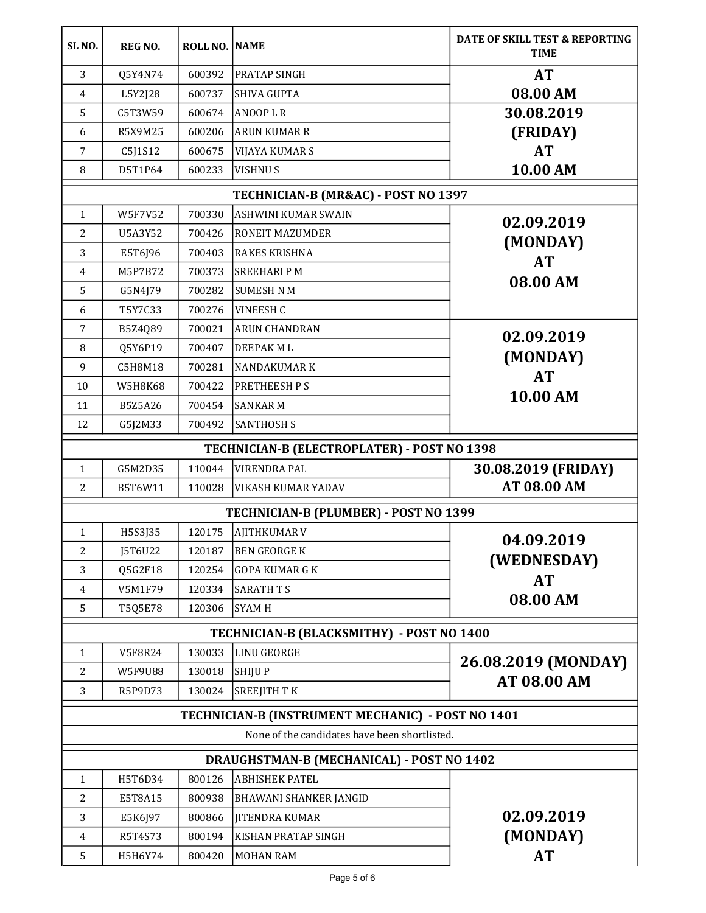| SL <sub>NO</sub> .<br><b>ROLL NO. NAME</b><br><b>REG NO.</b>           | DATE OF SKILL TEST & REPORTING<br><b>TIME</b> |  |  |  |
|------------------------------------------------------------------------|-----------------------------------------------|--|--|--|
| 3<br>600392<br><b>PRATAP SINGH</b><br>Q5Y4N74                          | <b>AT</b>                                     |  |  |  |
| 600737<br>$\overline{4}$<br>L5Y2J28<br>SHIVA GUPTA                     | 08.00 AM                                      |  |  |  |
| 5<br>C5T3W59<br>600674<br><b>ANOOPLR</b>                               | 30.08.2019                                    |  |  |  |
| <b>ARUN KUMAR R</b><br>6<br>R5X9M25<br>600206                          | (FRIDAY)                                      |  |  |  |
| 600675<br>7<br>C5J1S12<br><b>VIJAYA KUMAR S</b>                        | <b>AT</b>                                     |  |  |  |
| 8<br>D5T1P64<br>600233<br><b>VISHNUS</b>                               | 10.00 AM                                      |  |  |  |
| TECHNICIAN-B (MR&AC) - POST NO 1397                                    |                                               |  |  |  |
| 700330<br>$\mathbf{1}$<br><b>W5F7V52</b><br><b>ASHWINI KUMAR SWAIN</b> | 02.09.2019                                    |  |  |  |
| 2<br>700426<br>U5A3Y52<br><b>RONEIT MAZUMDER</b>                       |                                               |  |  |  |
| 700403<br>3<br>E5T6J96<br><b>RAKES KRISHNA</b>                         | (MONDAY)                                      |  |  |  |
| 700373<br>M5P7B72<br><b>SREEHARI PM</b><br>4                           | <b>AT</b>                                     |  |  |  |
| 5<br>700282<br><b>SUMESH N M</b><br>G5N4J79                            | 08.00 AM                                      |  |  |  |
| T5Y7C33<br>700276<br><b>VINEESH C</b><br>6                             |                                               |  |  |  |
| 700021<br><b>ARUN CHANDRAN</b><br>7<br>B5Z4Q89                         | 02.09.2019                                    |  |  |  |
| Q5Y6P19<br>700407<br><b>DEEPAK ML</b><br>8                             |                                               |  |  |  |
| 9<br>C5H8M18<br>700281<br><b>NANDAKUMARK</b>                           | (MONDAY)                                      |  |  |  |
| 700422<br><b>PRETHEESH PS</b><br>10<br><b>W5H8K68</b>                  | <b>AT</b>                                     |  |  |  |
| 700454<br><b>SANKARM</b><br>B5Z5A26<br>11                              | 10.00 AM                                      |  |  |  |
| <b>SANTHOSH S</b><br>12<br>G5J2M33<br>700492                           |                                               |  |  |  |
| TECHNICIAN-B (ELECTROPLATER) - POST NO 1398                            |                                               |  |  |  |
| 110044<br>G5M2D35<br><b>VIRENDRA PAL</b><br>$\mathbf{1}$               | 30.08.2019 (FRIDAY)                           |  |  |  |
| 2<br>B5T6W11<br>110028<br><b>VIKASH KUMAR YADAV</b>                    | AT 08.00 AM                                   |  |  |  |
| TECHNICIAN-B (PLUMBER) - POST NO 1399                                  |                                               |  |  |  |
| H5S3J35<br>120175<br><b>AJITHKUMAR V</b><br>$\mathbf{1}$               |                                               |  |  |  |
| 2<br>J5T6U22<br><b>BEN GEORGE K</b><br>120187                          | 04.09.2019                                    |  |  |  |
| Q5G2F18<br>120254<br><b>GOPA KUMAR G K</b><br>3                        | (WEDNESDAY)                                   |  |  |  |
| V5M1F79<br>120334<br><b>SARATH T S</b><br>4                            | <b>AT</b>                                     |  |  |  |
| <b>SYAM H</b><br>5<br>T5Q5E78<br>120306                                | 08.00 AM                                      |  |  |  |
| TECHNICIAN-B (BLACKSMITHY) - POST NO 1400                              |                                               |  |  |  |
| <b>LINU GEORGE</b><br>130033<br>V5F8R24<br>1                           | 26.08.2019 (MONDAY)<br>AT 08.00 AM            |  |  |  |
| 2<br><b>W5F9U88</b><br>130018<br><b>SHIJUP</b>                         |                                               |  |  |  |
| 3<br>R5P9D73<br><b>SREEJITH TK</b><br>130024                           |                                               |  |  |  |
| TECHNICIAN-B (INSTRUMENT MECHANIC) - POST NO 1401                      |                                               |  |  |  |
| None of the candidates have been shortlisted.                          |                                               |  |  |  |
| DRAUGHSTMAN-B (MECHANICAL) - POST NO 1402                              |                                               |  |  |  |
| H5T6D34<br>800126<br><b>ABHISHEK PATEL</b><br>$\mathbf{1}$             |                                               |  |  |  |
| E5T8A15<br>800938<br>2<br><b>BHAWANI SHANKER JANGID</b>                |                                               |  |  |  |
| 3<br>800866<br><b>JITENDRA KUMAR</b><br>E5K6J97                        | 02.09.2019                                    |  |  |  |
| 800194<br>R5T4S73<br>KISHAN PRATAP SINGH<br>4                          | (MONDAY)                                      |  |  |  |
| 5<br>H5H6Y74<br>800420<br><b>MOHAN RAM</b>                             | <b>AT</b>                                     |  |  |  |